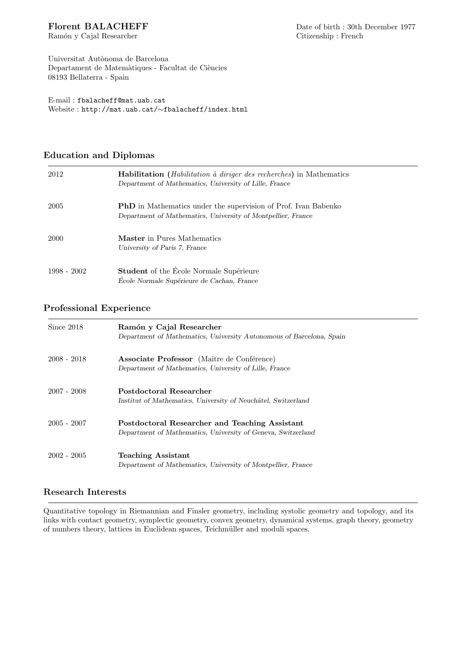Ram´on y Cajal Researcher Citizenship : French

Universitat Autònoma de Barcelona Departament de Matemàtiques - Facultat de Ciències 08193 Bellaterra - Spain

E-mail : fbalacheff@mat.uab.cat Website : http://mat.uab.cat/∼fbalacheff/index.html

### Education and Diplomas

| 2012        | <b>Habilitation</b> ( <i>Habilitation à diriger des recherches</i> ) in Mathematics<br>Department of Mathematics, University of Lille, France |
|-------------|-----------------------------------------------------------------------------------------------------------------------------------------------|
| 2005        | <b>PhD</b> in Mathematics under the supervision of Prof. Ivan Babenko<br>Department of Mathematics, University of Montpellier, France         |
| 2000        | <b>Master</b> in Pures Mathematics<br>University of Paris 7, France                                                                           |
| 1998 - 2002 | Student of the Ecole Normale Supérieure<br>École Normale Supérieure de Cachan, France                                                         |

### Professional Experience

| Since 2018    | Ramón y Cajal Researcher<br>Department of Mathematics, University Autonomous of Barcelona, Spain               |
|---------------|----------------------------------------------------------------------------------------------------------------|
| $2008 - 2018$ | <b>Associate Professor</b> (Maître de Conférence)<br>Department of Mathematics, University of Lille, France    |
| $2007 - 2008$ | Postdoctoral Researcher<br>Institut of Mathematics, University of Neuchâtel, Switzerland                       |
| $2005 - 2007$ | Postdoctoral Researcher and Teaching Assistant<br>Department of Mathematics, University of Geneva, Switzerland |
| $2002 - 2005$ | <b>Teaching Assistant</b><br>Department of Mathematics, University of Montpellier, France                      |

#### Research Interests

Quantitative topology in Riemannian and Finsler geometry, including systolic geometry and topology, and its links with contact geometry, symplectic geometry, convex geometry, dynamical systems, graph theory, geometry of numbers theory, lattices in Euclidean spaces, Teichm¨uller and moduli spaces.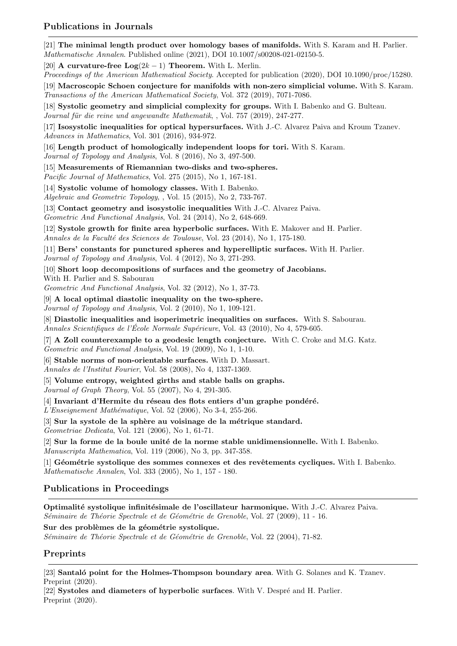### Publications in Journals

[21] The minimal length product over homology bases of manifolds. With S. Karam and H. Parlier. Mathematische Annalen. Published online (2021), DOI 10.1007/s00208-021-02150-5.

[20] **A curvature-free Log** $(2k - 1)$  **Theorem.** With L. Merlin.

Proceedings of the American Mathematical Society. Accepted for publication (2020), DOI 10.1090/proc/15280.

[19] Macroscopic Schoen conjecture for manifolds with non-zero simplicial volume. With S. Karam. Transactions of the American Mathematical Society, Vol. 372 (2019), 7071-7086.

[18] Systolic geometry and simplicial complexity for groups. With I. Babenko and G. Bulteau. Journal für die reine und angewandte Mathematik, , Vol. 757 (2019), 247-277.

[17] Isosystolic inequalities for optical hypersurfaces. With J.-C. Alvarez Paiva and Kroum Tzanev. Advances in Mathematics, Vol. 301 (2016), 934-972.

[16] Length product of homologically independent loops for tori. With S. Karam.

Journal of Topology and Analysis, Vol. 8 (2016), No 3, 497-500.

[15] Measurements of Riemannian two-disks and two-spheres.

Pacific Journal of Mathematics, Vol. 275 (2015), No 1, 167-181.

[14] Systolic volume of homology classes. With I. Babenko.

Algebraic and Geometric Topology, , Vol. 15 (2015), No 2, 733-767.

[13] Contact geometry and isosystolic inequalities With J.-C. Alvarez Paiva.

Geometric And Functional Analysis, Vol. 24 (2014), No 2, 648-669.

[12] Systole growth for finite area hyperbolic surfaces. With E. Makover and H. Parlier. Annales de la Faculté des Sciences de Toulouse, Vol. 23 (2014), No 1, 175-180.

[11] Bers' constants for punctured spheres and hyperelliptic surfaces. With H. Parlier. Journal of Topology and Analysis, Vol. 4 (2012), No 3, 271-293.

[10] Short loop decompositions of surfaces and the geometry of Jacobians.

With H. Parlier and S. Sabourau

Geometric And Functional Analysis, Vol. 32 (2012), No 1, 37-73.

[9] A local optimal diastolic inequality on the two-sphere.

Journal of Topology and Analysis, Vol. 2 (2010), No 1, 109-121.

[8] Diastolic inequalities and isoperimetric inequalities on surfaces. With S. Sabourau. Annales Scientifiques de l'École Normale Supérieure, Vol. 43 (2010), No 4, 579-605.

[7] A Zoll counterexample to a geodesic length conjecture. With C. Croke and M.G. Katz. Geometric and Functional Analysis, Vol. 19 (2009), No 1, 1-10.

[6] Stable norms of non-orientable surfaces. With D. Massart.

Annales de l'Institut Fourier, Vol. 58 (2008), No 4, 1337-1369.

[5] Volume entropy, weighted girths and stable balls on graphs. Journal of Graph Theory, Vol. 55 (2007), No 4, 291-305.

 $[4]$  Invariant d'Hermite du réseau des flots entiers d'un graphe pondéré.

 $L'Enseignement Mathématique, Vol. 52 (2006), No 3-4, 255-266.$ 

 $[3]$  Sur la systole de la sphère au voisinage de la métrique standard.

Geometriae Dedicata, Vol. 121 (2006), No 1, 61-71.

 $[2]$  Sur la forme de la boule unité de la norme stable unidimensionnelle. With I. Babenko. Manuscripta Mathematica, Vol. 119 (2006), No 3, pp. 347-358.

[1] Géométrie systolique des sommes connexes et des revêtements cycliques. With I. Babenko. Mathematische Annalen, Vol. 333 (2005), No 1, 157 - 180.

#### Publications in Proceedings

Optimalité systolique infinitésimale de l'oscillateur harmonique. With J.-C. Alvarez Paiva. Séminaire de Théorie Spectrale et de Géométrie de Grenoble, Vol. 27 (2009), 11 - 16.

Sur des problèmes de la géométrie systolique.

Séminaire de Théorie Spectrale et de Géométrie de Grenoble, Vol. 22 (2004), 71-82.

#### Preprints

[23] Santaló point for the Holmes-Thompson boundary area. With G. Solanes and K. Tzanev. Preprint (2020).

 $[22]$  Systoles and diameters of hyperbolic surfaces. With V. Despré and H. Parlier. Preprint (2020).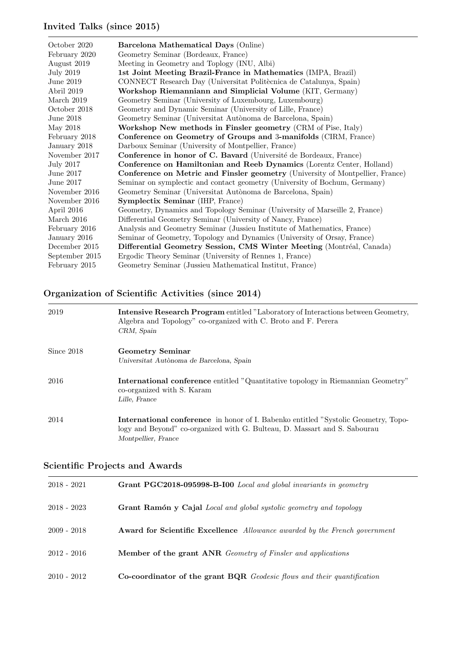## Invited Talks (since 2015)

| October 2020     | Barcelona Mathematical Days (Online)                                          |
|------------------|-------------------------------------------------------------------------------|
| February 2020    | Geometry Seminar (Bordeaux, France)                                           |
| August 2019      | Meeting in Geometry and Toplogy (INU, Albi)                                   |
| <b>July 2019</b> | 1st Joint Meeting Brazil-France in Mathematics (IMPA, Brazil)                 |
| June 2019        | CONNECT Research Day (Universitat Politècnica de Catalunya, Spain)            |
| Abril 2019       | Workshop Riemanniann and Simplicial Volume (KIT, Germany)                     |
| March $2019$     | Geometry Seminar (University of Luxembourg, Luxembourg)                       |
| October 2018     | Geometry and Dynamic Seminar (University of Lille, France)                    |
| June $2018$      | Geometry Seminar (Universitat Autònoma de Barcelona, Spain)                   |
| May 2018         | Workshop New methods in Finsler geometry (CRM of Pise, Italy)                 |
| February 2018    | Conference on Geometry of Groups and 3-manifolds (CIRM, France)               |
| January 2018     | Darboux Seminar (University of Montpellier, France)                           |
| November 2017    | Conference in honor of C. Bavard (Université de Bordeaux, France)             |
| <b>July 2017</b> | Conference on Hamiltonian and Reeb Dynamics (Lorentz Center, Holland)         |
| June 2017        | Conference on Metric and Finsler geometry (University of Montpellier, France) |
| June 2017        | Seminar on symplectic and contact geometry (University of Bochum, Germany)    |
| November 2016    | Geometry Seminar (Universitat Autònoma de Barcelona, Spain)                   |
| November 2016    | <b>Symplectix Seminar (IHP, France)</b>                                       |
| April 2016       | Geometry, Dynamics and Topology Seminar (University of Marseille 2, France)   |
| March 2016       | Differential Geometry Seminar (University of Nancy, France)                   |
| February 2016    | Analysis and Geometry Seminar (Jussieu Institute of Mathematics, France)      |
| January 2016     | Seminar of Geometry, Topology and Dynamics (University of Orsay, France)      |
| December 2015    | Differential Geometry Session, CMS Winter Meeting (Montréal, Canada)          |
| September 2015   | Ergodic Theory Seminar (University of Rennes 1, France)                       |
| February 2015    | Geometry Seminar (Jussieu Mathematical Institut, France)                      |
|                  |                                                                               |

## Organization of Scientific Activities (since 2014)

| 2019       | <b>Intensive Research Program</b> entitled "Laboratory of Interactions between Geometry,<br>Algebra and Topology" co-organized with C. Broto and F. Perera<br>CRM, Spain                      |
|------------|-----------------------------------------------------------------------------------------------------------------------------------------------------------------------------------------------|
| Since 2018 | <b>Geometry Seminar</b><br>Universitat Autònoma de Barcelona, Spain                                                                                                                           |
| 2016       | <b>International conference</b> entitled "Quantitative topology in Riemannian Geometry"<br>co-organized with S. Karam<br>Lille, France                                                        |
| 2014       | <b>International conference</b> in honor of I. Babenko entitled "Systolic Geometry, Topo-<br>logy and Beyond" co-organized with G. Bulteau, D. Massart and S. Sabourau<br>Montpellier, France |

# Scientific Projects and Awards

| $2018 - 2021$ | Grant PGC2018-095998-B-I00 Local and global invariants in geometry                |
|---------------|-----------------------------------------------------------------------------------|
| $2018 - 2023$ | Grant Ramón y Cajal Local and global systolic geometry and topology               |
| $2009 - 2018$ | <b>Award for Scientific Excellence</b> Allowance awarded by the French government |
| $2012 - 2016$ | <b>Member of the grant ANR</b> Geometry of Finsler and applications               |
| $2010 - 2012$ | <b>Co-coordinator of the grant BQR</b> Geodesic flows and their quantification    |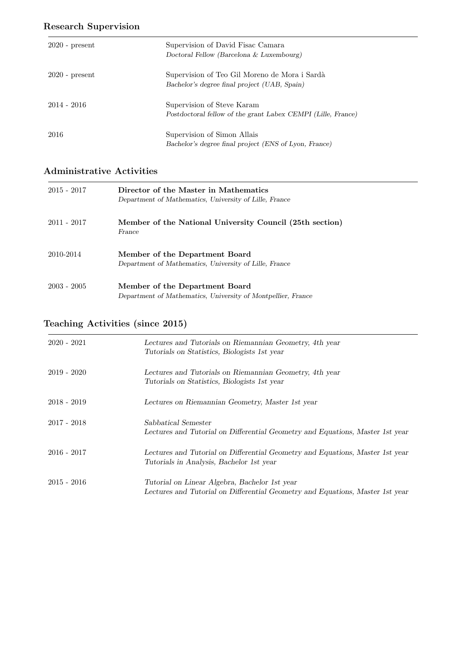## Research Supervision

| $2020$ - present | Supervision of David Fisac Camara<br>Doctoral Fellow (Barcelona & Luxembourg)                 |
|------------------|-----------------------------------------------------------------------------------------------|
| $2020$ - present | Supervision of Teo Gil Moreno de Mora i Sardà<br>Bachelor's degree final project (UAB, Spain) |
| $2014 - 2016$    | Supervision of Steve Karam<br>Postdoctoral fellow of the grant Labex CEMPI (Lille, France)    |
| 2016             | Supervision of Simon Allais<br>Bachelor's degree final project (ENS of Lyon, France)          |

## Administrative Activities

| $2015 - 2017$ | Director of the Master in Mathematics<br>Department of Mathematics, University of Lille, France |
|---------------|-------------------------------------------------------------------------------------------------|
| 2011 - 2017   | Member of the National University Council (25th section)<br>France                              |
| 2010-2014     | Member of the Department Board<br>Department of Mathematics, University of Lille, France        |
| $2003 - 2005$ | Member of the Department Board<br>Department of Mathematics, University of Montpellier, France  |

# Teaching Activities (since 2015)

| $2020 - 2021$ | Lectures and Tutorials on Riemannian Geometry, 4th year<br>Tutorials on Statistics, Biologists 1st year                        |
|---------------|--------------------------------------------------------------------------------------------------------------------------------|
| $2019 - 2020$ | Lectures and Tutorials on Riemannian Geometry, 4th year<br>Tutorials on Statistics, Biologists 1st year                        |
| $2018 - 2019$ | Lectures on Riemannian Geometry, Master 1st year                                                                               |
| $2017 - 2018$ | Sabbatical Semester<br>Lectures and Tutorial on Differential Geometry and Equations, Master 1st year                           |
| $2016 - 2017$ | Lectures and Tutorial on Differential Geometry and Equations, Master 1st year<br>Tutorials in Analysis, Bachelor 1st year      |
| $2015 - 2016$ | Tutorial on Linear Algebra, Bachelor 1st year<br>Lectures and Tutorial on Differential Geometry and Equations, Master 1st year |